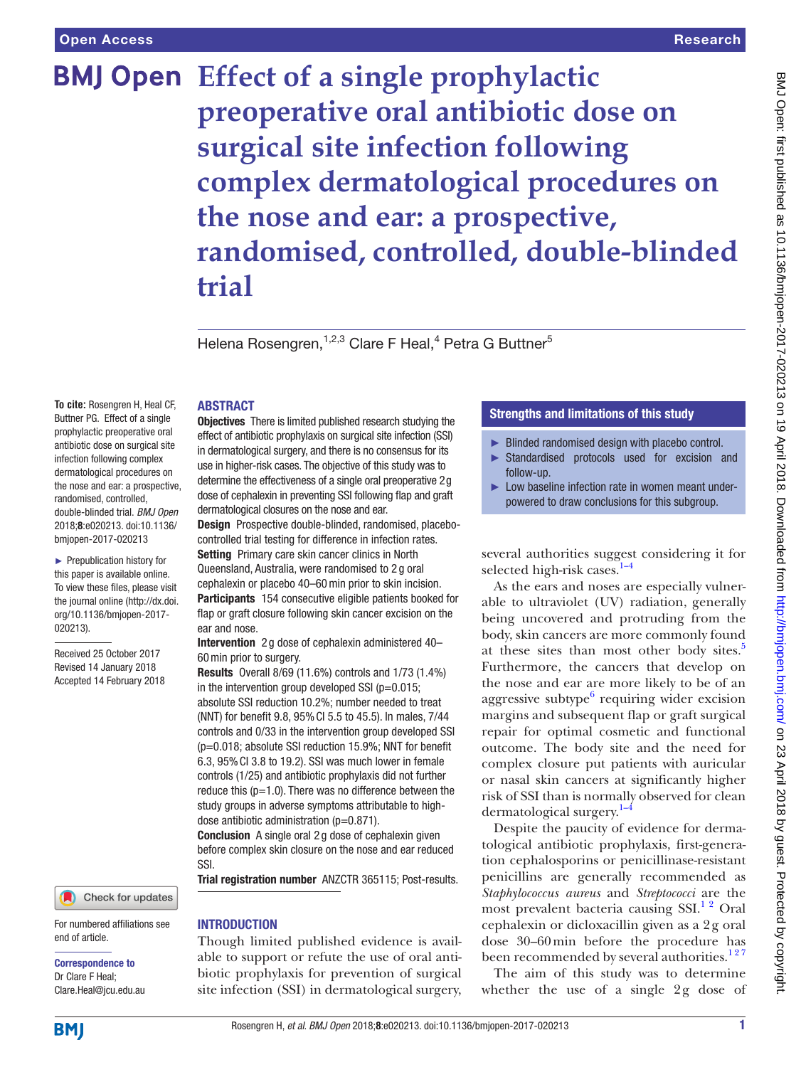# **BMJ Open** Effect of a single prophylactic **preoperative oral antibiotic dose on surgical site infection following complex dermatological procedures on the nose and ear: a prospective, randomised, controlled, double-blinded trial**

Helena Rosengren,<sup>1,2,3</sup> Clare F Heal,<sup>4</sup> Petra G Buttner<sup>5</sup>

## **ABSTRACT**

**To cite:** Rosengren H, Heal CF, Buttner PG. Effect of a single prophylactic preoperative oral antibiotic dose on surgical site infection following complex dermatological procedures on the nose and ear: a prospective, randomised, controlled, double-blinded trial. *BMJ Open* 2018;8:e020213. doi:10.1136/ bmjopen-2017-020213

► Prepublication history for this paper is available online. To view these files, please visit the journal online [\(http://dx.doi.](http://dx.doi.org/10.1136/bmjopen-2017-020213) [org/10.1136/bmjopen-2017-](http://dx.doi.org/10.1136/bmjopen-2017-020213) [020213\)](http://dx.doi.org/10.1136/bmjopen-2017-020213).

Received 25 October 2017 Revised 14 January 2018 Accepted 14 February 2018

#### Check for updates

For numbered affiliations see end of article.

Correspondence to Dr Clare F Heal; Clare.Heal@jcu.edu.au **Objectives** There is limited published research studying the effect of antibiotic prophylaxis on surgical site infection (SSI) in dermatological surgery, and there is no consensus for its use in higher-risk cases. The objective of this study was to determine the effectiveness of a single oral preoperative 2g dose of cephalexin in preventing SSI following flap and graft dermatological closures on the nose and ear.

Design Prospective double-blinded, randomised, placebocontrolled trial testing for difference in infection rates. Setting Primary care skin cancer clinics in North Queensland, Australia, were randomised to 2 g oral cephalexin or placebo 40–60min prior to skin incision. Participants 154 consecutive eligible patients booked for flap or graft closure following skin cancer excision on the ear and nose.

Intervention 2 g dose of cephalexin administered 40– 60min prior to surgery.

Results Overall 8/69 (11.6%) controls and 1/73 (1.4%) in the intervention group developed SSI ( $p=0.015$ ; absolute SSI reduction 10.2%; number needed to treat (NNT) for benefit 9.8, 95%CI 5.5 to 45.5). In males, 7/44 controls and 0/33 in the intervention group developed SSI (p=0.018; absolute SSI reduction 15.9%; NNT for benefit 6.3, 95%CI 3.8 to 19.2). SSI was much lower in female controls (1/25) and antibiotic prophylaxis did not further reduce this  $(p=1.0)$ . There was no difference between the study groups in adverse symptoms attributable to highdose antibiotic administration (p=0.871).

Conclusion A single oral 2 g dose of cephalexin given before complex skin closure on the nose and ear reduced SSI.

Trial registration number ANZCTR 365115; Post-results.

### **INTRODUCTION**

Though limited published evidence is available to support or refute the use of oral antibiotic prophylaxis for prevention of surgical site infection (SSI) in dermatological surgery,

## Strengths and limitations of this study

- ► Blinded randomised design with placebo control.
- ► Standardised protocols used for excision and follow-up.
- Low baseline infection rate in women meant underpowered to draw conclusions for this subgroup.

several authorities suggest considering it for selected high-risk cases. $1-4$ 

As the ears and noses are especially vulnerable to ultraviolet (UV) radiation, generally being uncovered and protruding from the body, skin cancers are more commonly found at these sites than most other body sites.<sup>[5](#page-7-1)</sup> Furthermore, the cancers that develop on the nose and ear are more likely to be of an aggressive subtype $6$  requiring wider excision margins and subsequent flap or graft surgical repair for optimal cosmetic and functional outcome. The body site and the need for complex closure put patients with auricular or nasal skin cancers at significantly higher risk of SSI than is normally observed for clean dermatological surgery. $1-4$ 

Despite the paucity of evidence for dermatological antibiotic prophylaxis, first-generation cephalosporins or penicillinase-resistant penicillins are generally recommended as *Staphylococcus aureus* and *Streptococci* are the most prevalent bacteria causing  $SSI<sup>12</sup>$  Oral cephalexin or dicloxacillin given as a 2g oral dose 30–60min before the procedure has been recommended by several authorities.<sup>127</sup>

The aim of this study was to determine whether the use of a single 2g dose of

**BMI**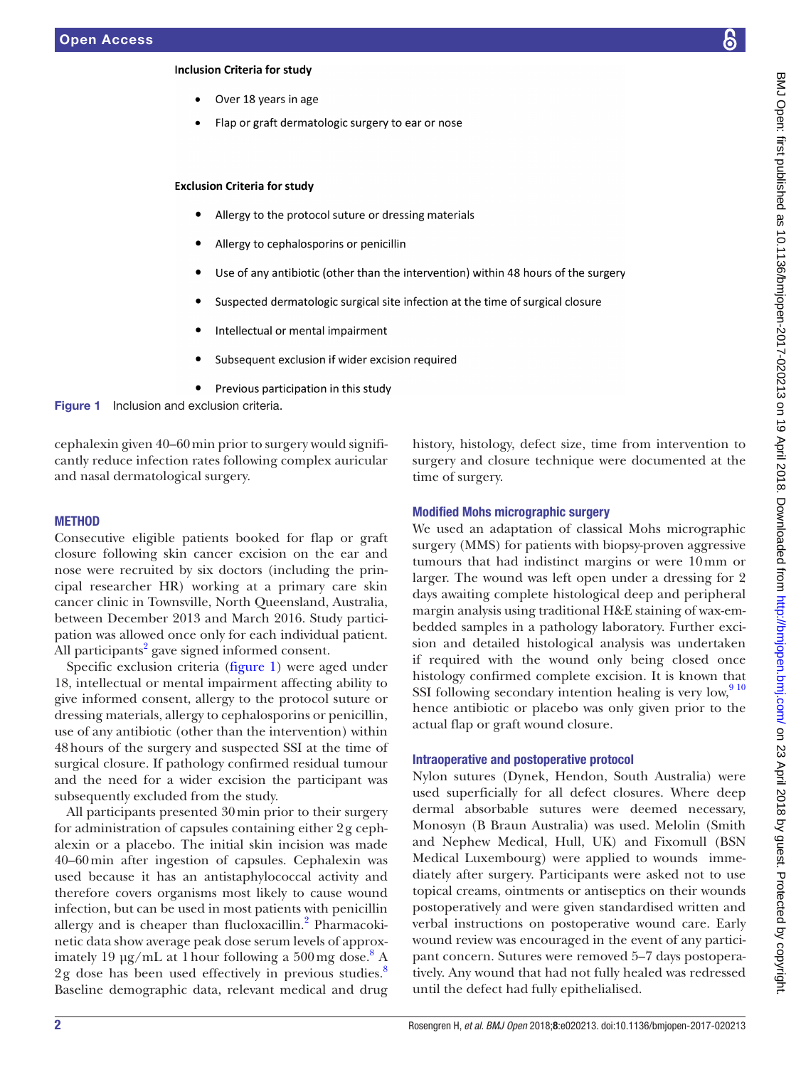### **Inclusion Criteria for study**

- Over 18 years in age
- Flap or graft dermatologic surgery to ear or nose

#### **Exclusion Criteria for study**

- Allergy to the protocol suture or dressing materials
- Allergy to cephalosporins or penicillin
- Use of any antibiotic (other than the intervention) within 48 hours of the surgery
- Suspected dermatologic surgical site infection at the time of surgical closure
- Intellectual or mental impairment
- <span id="page-1-0"></span>Subsequent exclusion if wider excision required
- Previous participation in this study



cephalexin given 40–60min prior to surgery would significantly reduce infection rates following complex auricular and nasal dermatological surgery.

#### **METHOD**

Consecutive eligible patients booked for flap or graft closure following skin cancer excision on the ear and nose were recruited by six doctors (including the principal researcher HR) working at a primary care skin cancer clinic in Townsville, North Queensland, Australia, between December 2013 and March 2016. Study participation was allowed once only for each individual patient. All participants $^{2}$  $^{2}$  $^{2}$  gave signed informed consent.

Specific exclusion criteria ([figure](#page-1-0) 1) were aged under 18, intellectual or mental impairment affecting ability to give informed consent, allergy to the protocol suture or dressing materials, allergy to cephalosporins or penicillin, use of any antibiotic (other than the intervention) within 48hours of the surgery and suspected SSI at the time of surgical closure. If pathology confirmed residual tumour and the need for a wider excision the participant was subsequently excluded from the study.

All participants presented 30min prior to their surgery for administration of capsules containing either 2g cephalexin or a placebo. The initial skin incision was made 40–60min after ingestion of capsules. Cephalexin was used because it has an antistaphylococcal activity and therefore covers organisms most likely to cause wound infection, but can be used in most patients with penicillin allergy and is cheaper than flucloxacillin.<sup>[2](#page-7-3)</sup> Pharmacokinetic data show average peak dose serum levels of approximately 19  $\mu$ g/mL at 1 hour following a 500 mg dose.<sup>[8](#page-7-4)</sup> A  $2g$  dose has been used effectively in previous studies.<sup>[8](#page-7-4)</sup> Baseline demographic data, relevant medical and drug

history, histology, defect size, time from intervention to surgery and closure technique were documented at the time of surgery.

### Modified Mohs micrographic surgery

We used an adaptation of classical Mohs micrographic surgery (MMS) for patients with biopsy-proven aggressive tumours that had indistinct margins or were 10mm or larger. The wound was left open under a dressing for 2 days awaiting complete histological deep and peripheral margin analysis using traditional H&E staining of wax-embedded samples in a pathology laboratory. Further excision and detailed histological analysis was undertaken if required with the wound only being closed once histology confirmed complete excision. It is known that SSI following secondary intention healing is very low, $910$ hence antibiotic or placebo was only given prior to the actual flap or graft wound closure.

#### Intraoperative and postoperative protocol

Nylon sutures (Dynek, Hendon, South Australia) were used superficially for all defect closures. Where deep dermal absorbable sutures were deemed necessary, Monosyn (B Braun Australia) was used. Melolin (Smith and Nephew Medical, Hull, UK) and Fixomull (BSN Medical Luxembourg) were applied to wounds immediately after surgery. Participants were asked not to use topical creams, ointments or antiseptics on their wounds postoperatively and were given standardised written and verbal instructions on postoperative wound care. Early wound review was encouraged in the event of any participant concern. Sutures were removed 5–7 days postoperatively. Any wound that had not fully healed was redressed until the defect had fully epithelialised.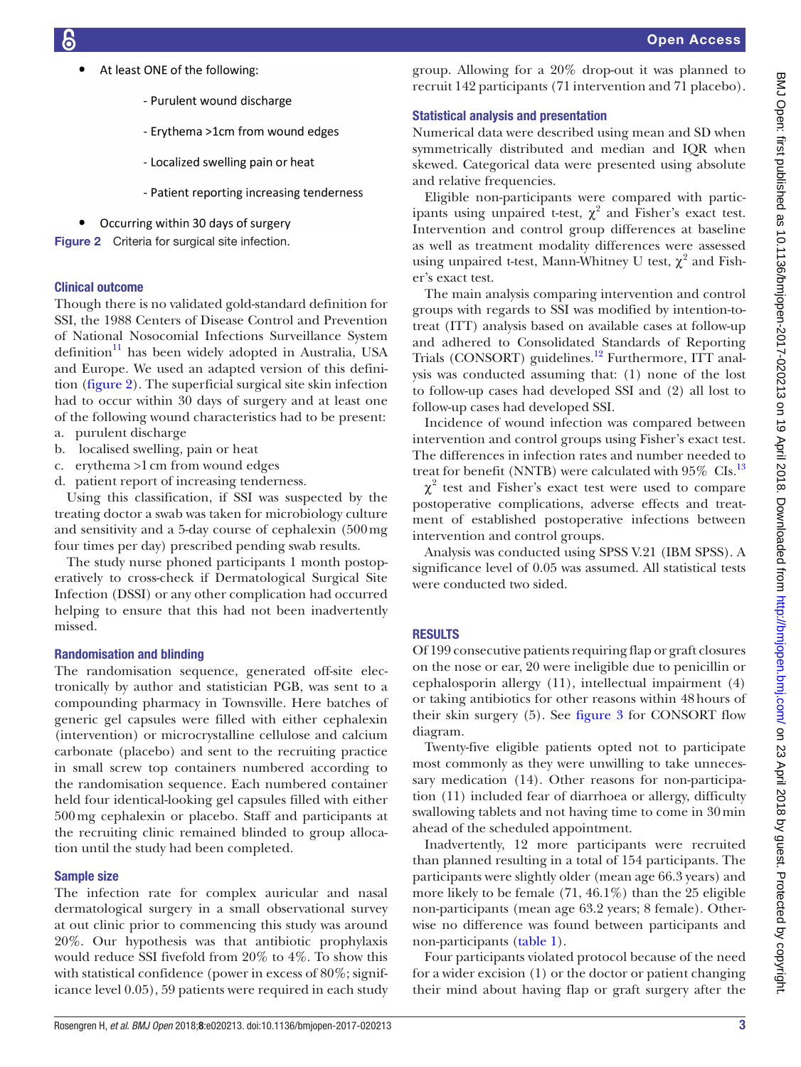- At least ONE of the following:
	- Purulent wound discharge
	- Ervthema >1cm from wound edges
	- Localized swelling pain or heat
	- Patient reporting increasing tenderness
- <span id="page-2-0"></span>Occurring within 30 days of surgery

Figure 2 Criteria for surgical site infection.

## Clinical outcome

Though there is no validated gold-standard definition for SSI, the 1988 Centers of Disease Control and Prevention of National Nosocomial Infections Surveillance System definition $11$  has been widely adopted in Australia, USA and Europe. We used an adapted version of this definition ([figure](#page-2-0) 2). The superficial surgical site skin infection had to occur within 30 days of surgery and at least one of the following wound characteristics had to be present:

- a. purulent discharge
- b. localised swelling, pain or heat
- c. erythema >1cm from wound edges
- d. patient report of increasing tenderness.

Using this classification, if SSI was suspected by the treating doctor a swab was taken for microbiology culture and sensitivity and a 5-day course of cephalexin (500mg four times per day) prescribed pending swab results.

The study nurse phoned participants 1 month postoperatively to cross-check if Dermatological Surgical Site Infection (DSSI) or any other complication had occurred helping to ensure that this had not been inadvertently missed.

## Randomisation and blinding

The randomisation sequence, generated off-site electronically by author and statistician PGB, was sent to a compounding pharmacy in Townsville. Here batches of generic gel capsules were filled with either cephalexin (intervention) or microcrystalline cellulose and calcium carbonate (placebo) and sent to the recruiting practice in small screw top containers numbered according to the randomisation sequence. Each numbered container held four identical-looking gel capsules filled with either 500mg cephalexin or placebo. Staff and participants at the recruiting clinic remained blinded to group allocation until the study had been completed.

## Sample size

The infection rate for complex auricular and nasal dermatological surgery in a small observational survey at out clinic prior to commencing this study was around 20%. Our hypothesis was that antibiotic prophylaxis would reduce SSI fivefold from 20% to 4%. To show this with statistical confidence (power in excess of 80%; significance level 0.05), 59 patients were required in each study group. Allowing for a 20% drop-out it was planned to recruit 142 participants (71 intervention and 71 placebo).

## Statistical analysis and presentation

Numerical data were described using mean and SD when symmetrically distributed and median and IQR when skewed. Categorical data were presented using absolute and relative frequencies.

Eligible non-participants were compared with participants using unpaired t-test,  $\chi^2$  and Fisher's exact test. Intervention and control group differences at baseline as well as treatment modality differences were assessed using unpaired t-test, Mann-Whitney U test,  $\chi^2$  and Fisher's exact test.

The main analysis comparing intervention and control groups with regards to SSI was modified by intention-totreat (ITT) analysis based on available cases at follow-up and adhered to Consolidated Standards of Reporting Trials (CONSORT) guidelines.<sup>12</sup> Furthermore, ITT analysis was conducted assuming that: (1) none of the lost to follow-up cases had developed SSI and (2) all lost to follow-up cases had developed SSI.

Incidence of wound infection was compared between intervention and control groups using Fisher's exact test. The differences in infection rates and number needed to treat for benefit (NNTB) were calculated with 95% CIs.<sup>[13](#page-7-8)</sup>

 $\chi^2$  test and Fisher's exact test were used to compare postoperative complications, adverse effects and treatment of established postoperative infections between intervention and control groups.

Analysis was conducted using SPSS V.21 (IBM SPSS). A significance level of 0.05 was assumed. All statistical tests were conducted two sided.

## **RESULTS**

Of 199 consecutive patients requiring flap or graft closures on the nose or ear, 20 were ineligible due to penicillin or cephalosporin allergy (11), intellectual impairment (4) or taking antibiotics for other reasons within 48hours of their skin surgery (5). See [figure](#page-3-0) 3 for CONSORT flow diagram.

Twenty-five eligible patients opted not to participate most commonly as they were unwilling to take unnecessary medication (14). Other reasons for non-participation (11) included fear of diarrhoea or allergy, difficulty swallowing tablets and not having time to come in 30min ahead of the scheduled appointment.

Inadvertently, 12 more participants were recruited than planned resulting in a total of 154 participants. The participants were slightly older (mean age 66.3 years) and more likely to be female  $(71, 46.1\%)$  than the 25 eligible non-participants (mean age 63.2 years; 8 female). Otherwise no difference was found between participants and non-participants [\(table](#page-3-1) 1).

Four participants violated protocol because of the need for a wider excision (1) or the doctor or patient changing their mind about having flap or graft surgery after the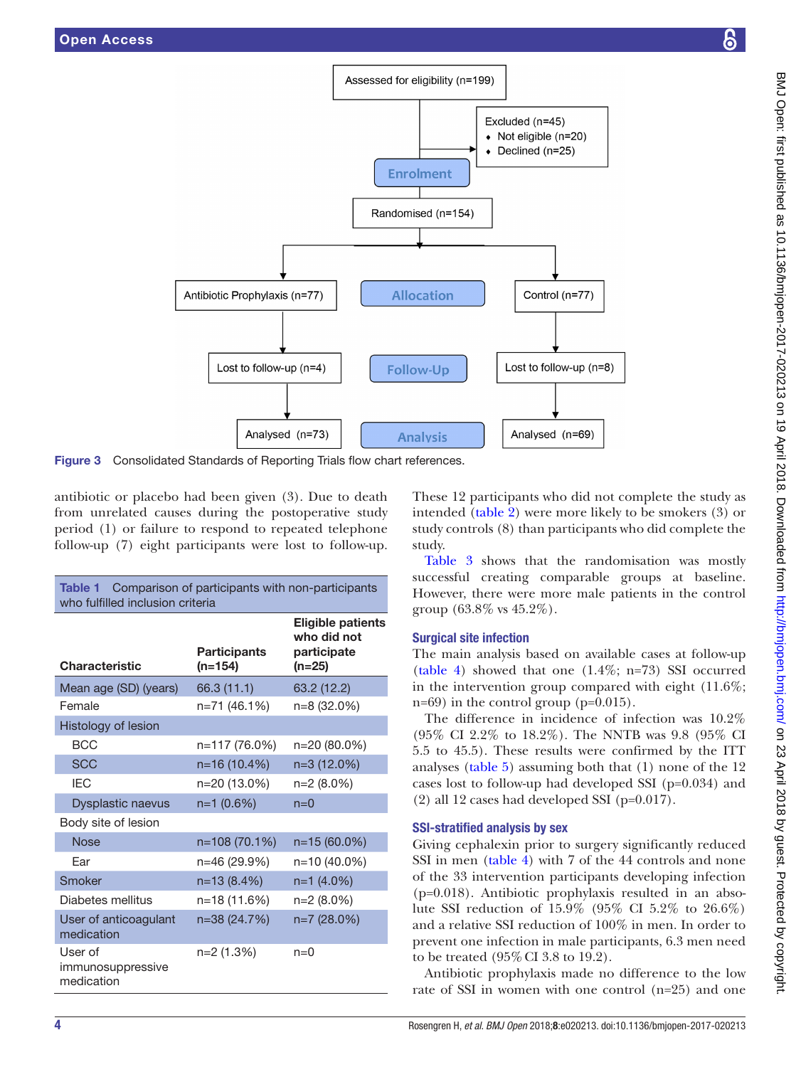

Figure 3 Consolidated Standards of Reporting Trials flow chart references.

antibiotic or placebo had been given (3). Due to death from unrelated causes during the postoperative study period (1) or failure to respond to repeated telephone follow-up (7) eight participants were lost to follow-up.

<span id="page-3-1"></span>

| <b>Table 1</b><br>Comparison of participants with non-participants<br>who fulfilled inclusion criteria |                                  |                                                                  |  |  |  |  |
|--------------------------------------------------------------------------------------------------------|----------------------------------|------------------------------------------------------------------|--|--|--|--|
| Characteristic                                                                                         | <b>Participants</b><br>$(n=154)$ | <b>Eligible patients</b><br>who did not<br>participate<br>(n=25) |  |  |  |  |
| Mean age (SD) (years)                                                                                  | 66.3 (11.1)                      | 63.2 (12.2)                                                      |  |  |  |  |
| Female                                                                                                 | n=71 (46.1%)                     | n=8 (32.0%)                                                      |  |  |  |  |
| Histology of lesion                                                                                    |                                  |                                                                  |  |  |  |  |
| <b>BCC</b>                                                                                             | n=117 (76.0%)                    | n=20 (80.0%)                                                     |  |  |  |  |
| <b>SCC</b>                                                                                             | n=16 (10.4%)                     | n=3 (12.0%)                                                      |  |  |  |  |
| <b>IEC</b>                                                                                             | n=20 (13.0%)                     | n=2 (8.0%)                                                       |  |  |  |  |
| <b>Dysplastic naevus</b>                                                                               | $n=1$ (0.6%)                     | $n=0$                                                            |  |  |  |  |
| Body site of lesion                                                                                    |                                  |                                                                  |  |  |  |  |
| <b>Nose</b>                                                                                            | n=108 (70.1%)                    | n=15 (60.0%)                                                     |  |  |  |  |
| Far                                                                                                    | n=46 (29.9%)                     | n=10 (40.0%)                                                     |  |  |  |  |
| Smoker                                                                                                 | n=13 (8.4%)                      | $n=1$ (4.0%)                                                     |  |  |  |  |
| Diabetes mellitus                                                                                      | n=18 (11.6%)                     | $n=2(8.0\%)$                                                     |  |  |  |  |
| User of anticoagulant<br>medication                                                                    | n=38 (24.7%)                     | n=7 (28.0%)                                                      |  |  |  |  |
| User of<br>immunosuppressive<br>medication                                                             | n=2 (1.3%)                       | $n=0$                                                            |  |  |  |  |

<span id="page-3-0"></span>These 12 participants who did not complete the study as intended ([table](#page-4-0) 2) were more likely to be smokers (3) or study controls (8) than participants who did complete the study.

[Table](#page-4-1) 3 shows that the randomisation was mostly successful creating comparable groups at baseline. However, there were more male patients in the control group (63.8% vs 45.2%).

## Surgical site infection

The main analysis based on available cases at follow-up [\(table](#page-5-0) 4) showed that one (1.4%; n=73) SSI occurred in the intervention group compared with eight (11.6%; n=69) in the control group (p=0.015).

The difference in incidence of infection was 10.2% (95% CI 2.2% to 18.2%). The NNTB was 9.8 (95% CI 5.5 to 45.5). These results were confirmed by the ITT analyses [\(table](#page-5-1) 5) assuming both that (1) none of the 12 cases lost to follow-up had developed SSI (p=0.034) and (2) all 12 cases had developed SSI (p=0.017).

## SSI-stratified analysis by sex

Giving cephalexin prior to surgery significantly reduced SSI in men [\(table](#page-5-0) 4) with 7 of the 44 controls and none of the 33 intervention participants developing infection  $(p=0.018)$ . Antibiotic prophylaxis resulted in an absolute SSI reduction of 15.9% (95% CI 5.2% to 26.6%) and a relative SSI reduction of 100% in men. In order to prevent one infection in male participants, 6.3 men need to be treated (95%CI 3.8 to 19.2).

Antibiotic prophylaxis made no difference to the low rate of SSI in women with one control (n=25) and one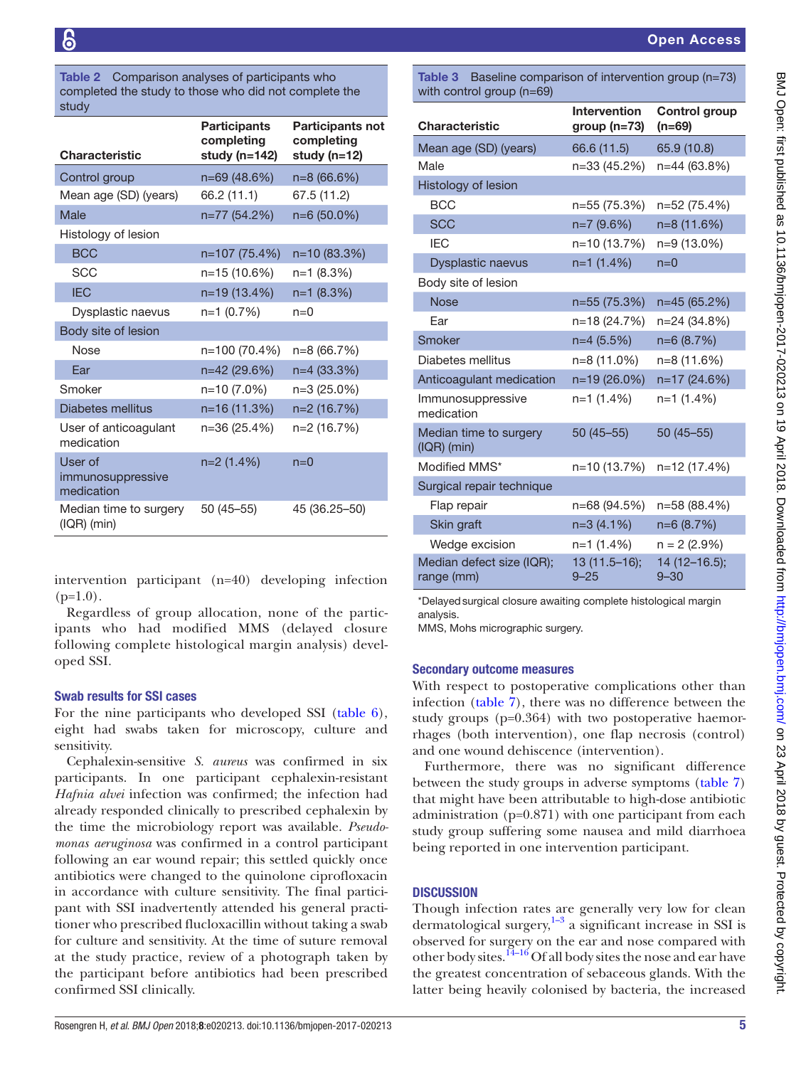<span id="page-4-0"></span>Table 2 Comparison analyses of participants who completed the study to those who did not complete the study

| <b>Characteristic</b>                      | <b>Participants</b><br>completing | <b>Participants not</b><br>completing |
|--------------------------------------------|-----------------------------------|---------------------------------------|
|                                            | study (n=142)                     | study (n=12)                          |
| Control group                              | n=69 (48.6%)                      | $n=8(66.6%)$                          |
| Mean age (SD) (years)                      | 66.2 (11.1)                       | 67.5 (11.2)                           |
| Male                                       | n=77 (54.2%)                      | n=6 (50.0%)                           |
| Histology of lesion                        |                                   |                                       |
| <b>BCC</b>                                 | n=107 (75.4%)                     | n=10 (83.3%)                          |
| <b>SCC</b>                                 | n=15 (10.6%)                      | $n=1$ (8.3%)                          |
| <b>IEC</b>                                 | n=19 (13.4%)                      | $n=1$ (8.3%)                          |
| Dysplastic naevus                          | n=1 (0.7%)                        | $n=0$                                 |
| Body site of lesion                        |                                   |                                       |
| <b>Nose</b>                                | n=100 (70.4%)                     | n=8 (66.7%)                           |
| Ear                                        | n=42 (29.6%)                      | n=4 (33.3%)                           |
| Smoker                                     | n=10 (7.0%)                       | n=3 (25.0%)                           |
| <b>Diabetes mellitus</b>                   | n=16 (11.3%)                      | n=2 (16.7%)                           |
| User of anticoagulant<br>medication        | n=36 (25.4%)                      | n=2 (16.7%)                           |
| User of<br>immunosuppressive<br>medication | $n=2(1.4\%)$                      | $n=0$                                 |
| Median time to surgery<br>$(IQR)$ (min)    | $50(45 - 55)$                     | 45 (36.25-50)                         |

intervention participant (n=40) developing infection  $(p=1.0)$ .

Regardless of group allocation, none of the participants who had modified MMS (delayed closure following complete histological margin analysis) developed SSI.

### Swab results for SSI cases

For the nine participants who developed SSI ([table](#page-6-0) 6), eight had swabs taken for microscopy, culture and sensitivity.

Cephalexin-sensitive *S. aureus* was confirmed in six participants. In one participant cephalexin-resistant *Hafnia alvei* infection was confirmed; the infection had already responded clinically to prescribed cephalexin by the time the microbiology report was available. *Pseudomonas aeruginosa* was confirmed in a control participant following an ear wound repair; this settled quickly once antibiotics were changed to the quinolone ciprofloxacin in accordance with culture sensitivity. The final participant with SSI inadvertently attended his general practitioner who prescribed flucloxacillin without taking a swab for culture and sensitivity. At the time of suture removal at the study practice, review of a photograph taken by the participant before antibiotics had been prescribed confirmed SSI clinically.

<span id="page-4-1"></span>Table 3 Baseline comparison of intervention group (n=73) with control group (n=69)

| <b>Characteristic</b>                   | <b>Intervention</b><br>$group (n=73)$ | <b>Control group</b><br>(n=69) |
|-----------------------------------------|---------------------------------------|--------------------------------|
| Mean age (SD) (years)                   | 66.6 (11.5)                           | 65.9 (10.8)                    |
| Male                                    | n=33 (45.2%)                          | n=44 (63.8%)                   |
| Histology of lesion                     |                                       |                                |
| <b>BCC</b>                              | n=55 (75.3%)                          | n=52 (75.4%)                   |
| <b>SCC</b>                              | $n=7(9.6%)$                           | n=8 (11.6%)                    |
| <b>IEC</b>                              | n=10 (13.7%)                          | n=9 (13.0%)                    |
| Dysplastic naevus                       | $n=1$ (1.4%)                          | $n=0$                          |
| Body site of lesion                     |                                       |                                |
| <b>Nose</b>                             | n=55 (75.3%)                          | $n=45(65.2%)$                  |
| Ear                                     | n=18 (24.7%)                          | n=24 (34.8%)                   |
| Smoker                                  | $n=4(5.5%)$                           | $n=6(8.7%)$                    |
| Diabetes mellitus                       | n=8 (11.0%)                           | n=8 (11.6%)                    |
| Anticoagulant medication                | n=19 (26.0%)                          | n=17 (24.6%)                   |
| Immunosuppressive<br>medication         | n=1 (1.4%)                            | $n=1$ (1.4%)                   |
| Median time to surgery<br>$(IQR)$ (min) | $50(45 - 55)$                         | $50(45 - 55)$                  |
| Modified MMS*                           | n=10 (13.7%)                          | n=12 (17.4%)                   |
| Surgical repair technique               |                                       |                                |
| Flap repair                             | n=68 (94.5%)                          | n=58 (88.4%)                   |
| Skin graft                              | $n=3(4.1%)$                           | $n=6(8.7%)$                    |
| Wedge excision                          | n=1 (1.4%)                            | $n = 2$ (2.9%)                 |
| Median defect size (IQR);<br>range (mm) | 13 (11.5-16);<br>$9 - 25$             | 14 (12-16.5);<br>$9 - 30$      |

\*Delayedsurgical closure awaiting complete histological margin analysis.

MMS, Mohs micrographic surgery.

### Secondary outcome measures

With respect to postoperative complications other than infection ([table](#page-6-1) 7), there was no difference between the study groups (p=0.364) with two postoperative haemorrhages (both intervention), one flap necrosis (control) and one wound dehiscence (intervention).

Furthermore, there was no significant difference between the study groups in adverse symptoms ([table](#page-6-1) 7) that might have been attributable to high-dose antibiotic administration (p=0.871) with one participant from each study group suffering some nausea and mild diarrhoea being reported in one intervention participant.

## **DISCUSSION**

Though infection rates are generally very low for clean dermatological surgery, $1-3$  a significant increase in SSI is observed for surgery on the ear and nose compared with other body sites.<sup>14-16</sup> Of all body sites the nose and ear have the greatest concentration of sebaceous glands. With the latter being heavily colonised by bacteria, the increased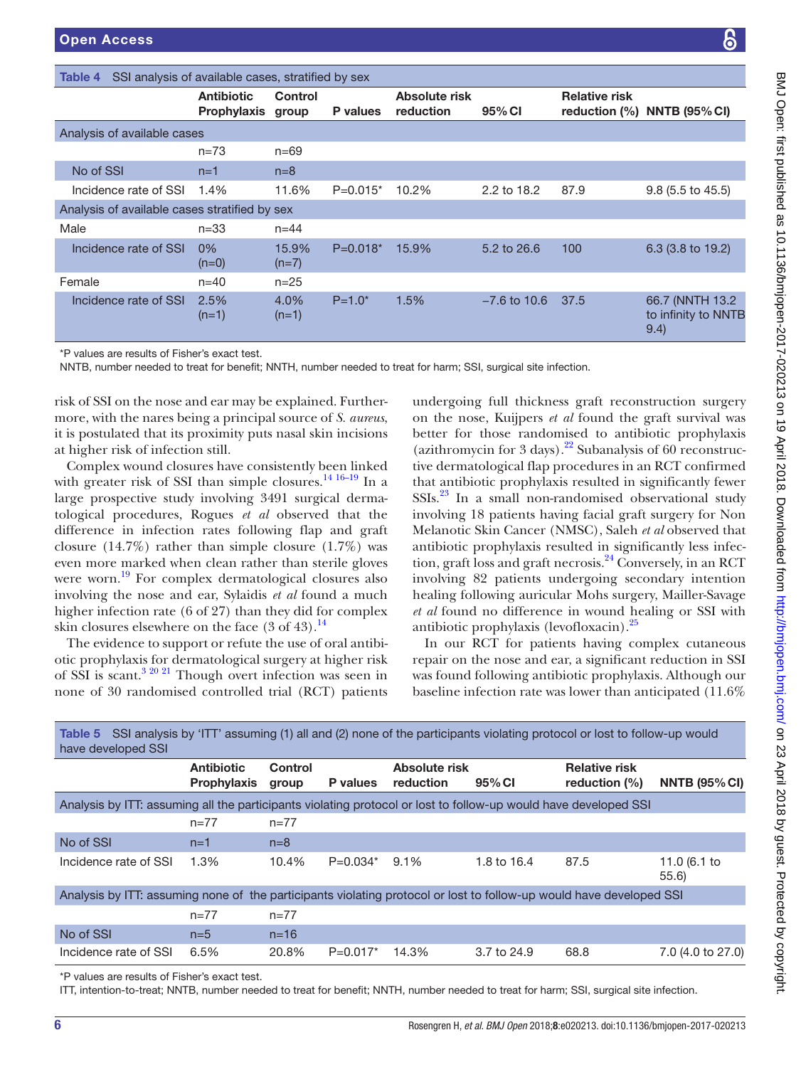NNTB<sup></sup>

BMJ Open: first published as 10.1136/bmjopen-2017-020213 on 19 April 2018. Downloaded from http://bmjopen.bmj.com/ on 23 April 2018 by guest. Protected by copyright BMJ Open: first published as 10.1136/bmjopen-2017-020213 on 19 April 2018. Downloaded from mp.//bmjopen.bmj.com/ on 23 April 2018 by guest. Protected by copyright.

<span id="page-5-0"></span>

| SSI analysis of available cases, stratified by sex<br>Table 4                                                                                                                                                                                                                                                                                                         |                                        |                  |             |                            |                |                      |                                                                                                                                                                          |
|-----------------------------------------------------------------------------------------------------------------------------------------------------------------------------------------------------------------------------------------------------------------------------------------------------------------------------------------------------------------------|----------------------------------------|------------------|-------------|----------------------------|----------------|----------------------|--------------------------------------------------------------------------------------------------------------------------------------------------------------------------|
|                                                                                                                                                                                                                                                                                                                                                                       | <b>Antibiotic</b><br>Prophylaxis group | <b>Control</b>   | P values    | Absolute risk<br>reduction | 95% CI         | <b>Relative risk</b> | reduction $(\% )$ NNTB $(95\%$ CI)                                                                                                                                       |
| Analysis of available cases                                                                                                                                                                                                                                                                                                                                           |                                        |                  |             |                            |                |                      |                                                                                                                                                                          |
|                                                                                                                                                                                                                                                                                                                                                                       | $n = 73$                               | $n = 69$         |             |                            |                |                      |                                                                                                                                                                          |
| No of SSI                                                                                                                                                                                                                                                                                                                                                             | $n=1$                                  | $n=8$            |             |                            |                |                      |                                                                                                                                                                          |
| Incidence rate of SSI                                                                                                                                                                                                                                                                                                                                                 | 1.4%                                   | 11.6%            | $P=0.015*$  | 10.2%                      | 2.2 to 18.2    | 87.9                 | $9.8$ (5.5 to 45.5)                                                                                                                                                      |
| Analysis of available cases stratified by sex                                                                                                                                                                                                                                                                                                                         |                                        |                  |             |                            |                |                      |                                                                                                                                                                          |
| Male                                                                                                                                                                                                                                                                                                                                                                  | $n = 33$                               | $n = 44$         |             |                            |                |                      |                                                                                                                                                                          |
| Incidence rate of SSI                                                                                                                                                                                                                                                                                                                                                 | 0%<br>$(n=0)$                          | 15.9%<br>$(n=7)$ | $P=0.018*$  | 15.9%                      | 5.2 to 26.6    | 100                  | 6.3 (3.8 to 19.2)                                                                                                                                                        |
| Female                                                                                                                                                                                                                                                                                                                                                                | $n = 40$                               | $n = 25$         |             |                            |                |                      |                                                                                                                                                                          |
| Incidence rate of SSI                                                                                                                                                                                                                                                                                                                                                 | 2.5%<br>$(n=1)$                        | 4.0%<br>$(n=1)$  | $P = 1.0^*$ | 1.5%                       | $-7.6$ to 10.6 | 37.5                 | 66.7 (NNTH 13.2)<br>to infinity to NNT<br>9.4)                                                                                                                           |
| *P values are results of Fisher's exact test.<br>NNTB, number needed to treat for benefit; NNTH, number needed to treat for harm; SSI, surgical site infection.<br>risk of SSI on the nose and ear may be explained. Further-<br>more, with the nares being a principal source of <i>S. aureus</i> ,<br>it is postulated that its proximity puts nasal skin incisions |                                        |                  |             |                            |                |                      | undergoing full thickness graft reconstruction surger<br>on the nose, Kuijpers et al found the graft survival was<br>better for those randomised to antibiotic prophylax |

at higher risk of infection still. Complex wound closures have consistently been linked with greater risk of SSI than simple closures.<sup>14 16–19</sup> In a large prospective study involving 3491 surgical dermatological procedures, Rogues *et al* observed that the difference in infection rates following flap and graft closure  $(14.7\%)$  rather than simple closure  $(1.7\%)$  was even more marked when clean rather than sterile gloves were worn.<sup>19</sup> For complex dermatological closures also involving the nose and ear, Sylaidis *et al* found a much higher infection rate (6 of 27) than they did for complex skin closures elsewhere on the face  $(3 \text{ of } 43).$ <sup>[14](#page-7-9)</sup>

The evidence to support or refute the use of oral antibiotic prophylaxis for dermatological surgery at higher risk of SSI is scant.<sup>3 20 21</sup> Though overt infection was seen in none of 30 randomised controlled trial (RCT) patients

undergoing full thickness graft reconstruction surgery on the nose, Kuijpers *et al* found the graft survival was better for those randomised to antibiotic prophylaxis (azithromycin for 3 days).<sup>[22](#page-7-12)</sup> Subanalysis of 60 reconstructive dermatological flap procedures in an RCT confirmed that antibiotic prophylaxis resulted in significantly fewer SSIs[.23](#page-7-13) In a small non-randomised observational study involving 18 patients having facial graft surgery for Non Melanotic Skin Cancer (NMSC), Saleh *et al* observed that antibiotic prophylaxis resulted in significantly less infection, graft loss and graft necrosis.<sup>24</sup> Conversely, in an RCT involving 82 patients undergoing secondary intention healing following auricular Mohs surgery, Mailler-Savage *et al* found no difference in wound healing or SSI with antibiotic prophylaxis (levofloxacin).[25](#page-7-15)

In our RCT for patients having complex cutaneous repair on the nose and ear, a significant reduction in SSI was found following antibiotic prophylaxis. Although our baseline infection rate was lower than anticipated (11.6%

<span id="page-5-1"></span>

| Table 5 SSI analysis by 'ITT' assuming (1) all and (2) none of the participants violating protocol or lost to follow-up would<br>have developed SSI |                                         |                  |                 |                            |             |                                          |                      |
|-----------------------------------------------------------------------------------------------------------------------------------------------------|-----------------------------------------|------------------|-----------------|----------------------------|-------------|------------------------------------------|----------------------|
|                                                                                                                                                     | <b>Antibiotic</b><br><b>Prophylaxis</b> | Control<br>group | <b>P</b> values | Absolute risk<br>reduction | 95% CI      | <b>Relative risk</b><br>reduction $(\%)$ | <b>NNTB (95% CI)</b> |
| Analysis by ITT: assuming all the participants violating protocol or lost to follow-up would have developed SSI                                     |                                         |                  |                 |                            |             |                                          |                      |
|                                                                                                                                                     | $n=77$                                  | $n=77$           |                 |                            |             |                                          |                      |
| No of SSI                                                                                                                                           | $n=1$                                   | $n=8$            |                 |                            |             |                                          |                      |
| Incidence rate of SSI                                                                                                                               | 1.3%                                    | 10.4%            | $P=0.034*$      | $9.1\%$                    | 1.8 to 16.4 | 87.5                                     | 11.0 (6.1 to<br>55.6 |
| Analysis by ITT: assuming none of the participants violating protocol or lost to follow-up would have developed SSI                                 |                                         |                  |                 |                            |             |                                          |                      |
|                                                                                                                                                     | $n=77$                                  | $n=77$           |                 |                            |             |                                          |                      |
| No of SSI                                                                                                                                           | $n=5$                                   | $n = 16$         |                 |                            |             |                                          |                      |
| Incidence rate of SSI                                                                                                                               | 6.5%                                    | 20.8%            | $P=0.017*$      | 14.3%                      | 3.7 to 24.9 | 68.8                                     | 7.0 (4.0 to 27.0)    |

\*P values are results of Fisher's exact test.

ITT, intention-to-treat; NNTB, number needed to treat for benefit; NNTH, number needed to treat for harm; SSI, surgical site infection.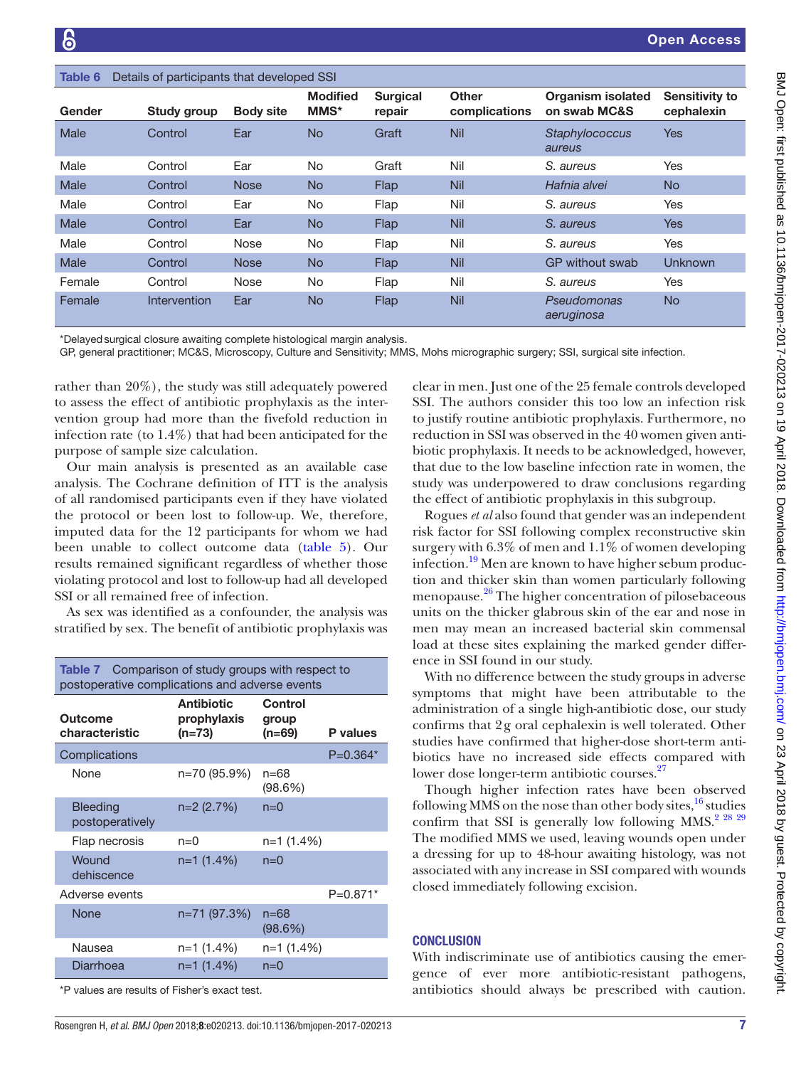<span id="page-6-0"></span>

| Details of participants that developed SSI<br>Table 6 |                     |                  |                                |                           |                               |                                          |                                     |
|-------------------------------------------------------|---------------------|------------------|--------------------------------|---------------------------|-------------------------------|------------------------------------------|-------------------------------------|
| Gender                                                | Study group         | <b>Body site</b> | <b>Modified</b><br><b>MMS*</b> | <b>Surgical</b><br>repair | <b>Other</b><br>complications | <b>Organism isolated</b><br>on swab MC&S | <b>Sensitivity to</b><br>cephalexin |
| Male                                                  | Control             | Ear              | <b>No</b>                      | Graft                     | <b>Nil</b>                    | Staphylococcus<br>aureus                 | <b>Yes</b>                          |
| Male                                                  | Control             | Ear              | <b>No</b>                      | Graft                     | Nil                           | S. aureus                                | <b>Yes</b>                          |
| Male                                                  | Control             | <b>Nose</b>      | <b>No</b>                      | Flap                      | <b>Nil</b>                    | Hafnia alvei                             | <b>No</b>                           |
| Male                                                  | Control             | Ear              | No.                            | Flap                      | Nil                           | S. aureus                                | Yes                                 |
| Male                                                  | Control             | Ear              | <b>No</b>                      | Flap                      | <b>Nil</b>                    | S. aureus                                | <b>Yes</b>                          |
| Male                                                  | Control             | Nose             | No.                            | Flap                      | Nil                           | S. aureus                                | Yes                                 |
| Male                                                  | Control             | <b>Nose</b>      | <b>No</b>                      | Flap                      | <b>Nil</b>                    | GP without swab                          | <b>Unknown</b>                      |
| Female                                                | Control             | Nose             | No                             | Flap                      | Nil                           | S. aureus                                | Yes                                 |
| Female                                                | <b>Intervention</b> | Ear              | <b>No</b>                      | Flap                      | <b>Nil</b>                    | Pseudomonas<br>aeruginosa                | No                                  |

\*Delayedsurgical closure awaiting complete histological margin analysis.

GP, general practitioner; MC&S, Microscopy, Culture and Sensitivity; MMS, Mohs micrographic surgery; SSI, surgical site infection.

rather than 20%), the study was still adequately powered to assess the effect of antibiotic prophylaxis as the intervention group had more than the fivefold reduction in infection rate (to 1.4%) that had been anticipated for the purpose of sample size calculation.

Our main analysis is presented as an available case analysis. The Cochrane definition of ITT is the analysis of all randomised participants even if they have violated the protocol or been lost to follow-up. We, therefore, imputed data for the 12 participants for whom we had been unable to collect outcome data [\(table](#page-5-1) 5). Our results remained significant regardless of whether those violating protocol and lost to follow-up had all developed SSI or all remained free of infection.

As sex was identified as a confounder, the analysis was stratified by sex. The benefit of antibiotic prophylaxis was

<span id="page-6-1"></span>

| <b>Table 7</b> Comparison of study groups with respect to<br>postoperative complications and adverse events |                                            |                            |            |  |  |  |
|-------------------------------------------------------------------------------------------------------------|--------------------------------------------|----------------------------|------------|--|--|--|
| Outcome<br>characteristic                                                                                   | <b>Antibiotic</b><br>prophylaxis<br>(n=73) | Control<br>group<br>(n=69) | P values   |  |  |  |
| Complications                                                                                               |                                            |                            | $P=0.364*$ |  |  |  |
| None                                                                                                        | n=70 (95.9%)                               | n=68<br>(98.6%)            |            |  |  |  |
| <b>Bleeding</b><br>postoperatively                                                                          | $n=2(2.7%)$                                | $n=0$                      |            |  |  |  |
| Flap necrosis                                                                                               | $n=0$                                      | n=1 (1.4%)                 |            |  |  |  |
| Wound<br>dehiscence                                                                                         | $n=1(1.4\%)$                               | $n=0$                      |            |  |  |  |
| Adverse events                                                                                              |                                            |                            | $P=0.871*$ |  |  |  |
| None                                                                                                        | n=71 (97.3%)                               | $n = 68$<br>(98.6%)        |            |  |  |  |
| Nausea                                                                                                      | n=1 (1.4%)                                 | $n=1$ (1.4%)               |            |  |  |  |
| Diarrhoea                                                                                                   | n=1 (1.4%)                                 | $n=0$                      |            |  |  |  |

\*P values are results of Fisher's exact test.

Rosengren H, *et al*. *BMJ Open* 2018;8:e020213. doi:10.1136/bmjopen-2017-020213 7

clear in men. Just one of the 25 female controls developed SSI. The authors consider this too low an infection risk to justify routine antibiotic prophylaxis. Furthermore, no reduction in SSI was observed in the 40 women given antibiotic prophylaxis. It needs to be acknowledged, however, that due to the low baseline infection rate in women, the study was underpowered to draw conclusions regarding the effect of antibiotic prophylaxis in this subgroup.

Rogues *et al* also found that gender was an independent risk factor for SSI following complex reconstructive skin surgery with 6.3% of men and 1.1% of women developing infection.<sup>19</sup> Men are known to have higher sebum production and thicker skin than women particularly following menopause.<sup>26</sup> The higher concentration of pilosebaceous units on the thicker glabrous skin of the ear and nose in men may mean an increased bacterial skin commensal load at these sites explaining the marked gender difference in SSI found in our study.

With no difference between the study groups in adverse symptoms that might have been attributable to the administration of a single high-antibiotic dose, our study confirms that 2g oral cephalexin is well tolerated. Other studies have confirmed that higher-dose short-term antibiotics have no increased side effects compared with lower dose longer-term antibiotic courses.<sup>[27](#page-7-17)</sup>

Though higher infection rates have been observed following MMS on the nose than other body sites, $16$  studies confirm that SSI is generally low following MMS.<sup>[2 28 29](#page-7-3)</sup> The modified MMS we used, leaving wounds open under a dressing for up to 48-hour awaiting histology, was not associated with any increase in SSI compared with wounds closed immediately following excision.

## **CONCLUSION**

With indiscriminate use of antibiotics causing the emergence of ever more antibiotic-resistant pathogens, antibiotics should always be prescribed with caution.